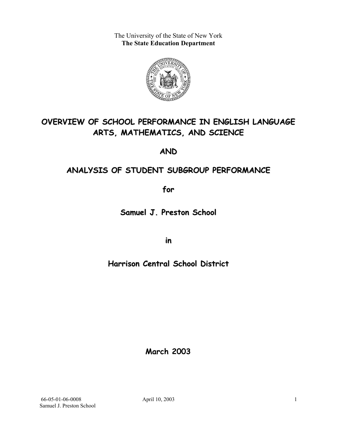The University of the State of New York **The State Education Department** 



# **OVERVIEW OF SCHOOL PERFORMANCE IN ENGLISH LANGUAGE ARTS, MATHEMATICS, AND SCIENCE**

**AND**

## **ANALYSIS OF STUDENT SUBGROUP PERFORMANCE**

**for**

**Samuel J. Preston School**

**in**

## **Harrison Central School District**

**March 2003**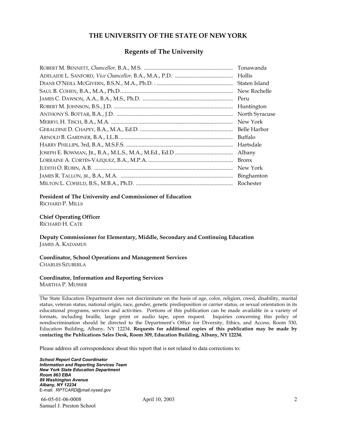#### **THE UNIVERSITY OF THE STATE OF NEW YORK**

#### **Regents of The University**

| Tonawanda      |
|----------------|
| Hollis         |
| Staten Island  |
| New Rochelle   |
| Peru           |
| Huntington     |
| North Syracuse |
| New York       |
| Belle Harbor   |
| Buffalo        |
| Hartsdale      |
| Albany         |
| <b>Bronx</b>   |
| New York       |
| Binghamton     |
| Rochester      |

#### **President of The University and Commissioner of Education**

RICHARD P. MILLS

#### **Chief Operating Officer**

RICHARD H. CATE

**Deputy Commissioner for Elementary, Middle, Secondary and Continuing Education**  JAMES A. KADAMUS

#### **Coordinator, School Operations and Management Services**  CHARLES SZUBERLA

#### **Coordinator, Information and Reporting Services**

MARTHA P. MUSSER

The State Education Department does not discriminate on the basis of age, color, religion, creed, disability, marital status, veteran status, national origin, race, gender, genetic predisposition or carrier status, or sexual orientation in its educational programs, services and activities. Portions of this publication can be made available in a variety of formats, including braille, large print or audio tape, upon request. Inquiries concerning this policy of nondiscrimination should be directed to the Department's Office for Diversity, Ethics, and Access, Room 530, Education Building, Albany, NY 12234. **Requests for additional copies of this publication may be made by contacting the Publications Sales Desk, Room 309, Education Building, Albany, NY 12234.** 

Please address all correspondence about this report that is not related to data corrections to:

*School Report Card Coordinator Information and Reporting Services Team New York State Education Department Room 863 EBA 89 Washington Avenue Albany, NY 12234*  E-mail: *RPTCARD@mail.nysed.gov*

 66-05-01-06-0008 April 10, 2003 Samuel J. Preston School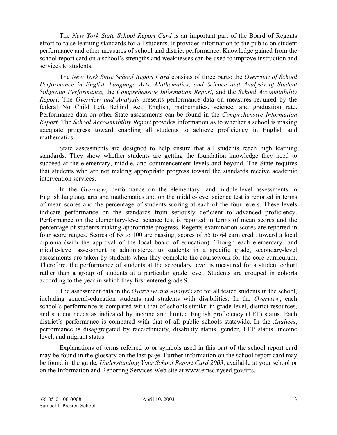The *New York State School Report Card* is an important part of the Board of Regents effort to raise learning standards for all students. It provides information to the public on student performance and other measures of school and district performance. Knowledge gained from the school report card on a school's strengths and weaknesses can be used to improve instruction and services to students.

The *New York State School Report Card* consists of three parts: the *Overview of School Performance in English Language Arts, Mathematics, and Science and Analysis of Student Subgroup Performance,* the *Comprehensive Information Report,* and the *School Accountability Report*. The *Overview and Analysis* presents performance data on measures required by the federal No Child Left Behind Act: English, mathematics, science, and graduation rate. Performance data on other State assessments can be found in the *Comprehensive Information Report*. The *School Accountability Report* provides information as to whether a school is making adequate progress toward enabling all students to achieve proficiency in English and mathematics.

State assessments are designed to help ensure that all students reach high learning standards. They show whether students are getting the foundation knowledge they need to succeed at the elementary, middle, and commencement levels and beyond. The State requires that students who are not making appropriate progress toward the standards receive academic intervention services.

In the *Overview*, performance on the elementary- and middle-level assessments in English language arts and mathematics and on the middle-level science test is reported in terms of mean scores and the percentage of students scoring at each of the four levels. These levels indicate performance on the standards from seriously deficient to advanced proficiency. Performance on the elementary-level science test is reported in terms of mean scores and the percentage of students making appropriate progress. Regents examination scores are reported in four score ranges. Scores of 65 to 100 are passing; scores of 55 to 64 earn credit toward a local diploma (with the approval of the local board of education). Though each elementary- and middle-level assessment is administered to students in a specific grade, secondary-level assessments are taken by students when they complete the coursework for the core curriculum. Therefore, the performance of students at the secondary level is measured for a student cohort rather than a group of students at a particular grade level. Students are grouped in cohorts according to the year in which they first entered grade 9.

The assessment data in the *Overview and Analysis* are for all tested students in the school, including general-education students and students with disabilities. In the *Overview*, each school's performance is compared with that of schools similar in grade level, district resources, and student needs as indicated by income and limited English proficiency (LEP) status. Each district's performance is compared with that of all public schools statewide. In the *Analysis*, performance is disaggregated by race/ethnicity, disability status, gender, LEP status, income level, and migrant status.

Explanations of terms referred to or symbols used in this part of the school report card may be found in the glossary on the last page. Further information on the school report card may be found in the guide, *Understanding Your School Report Card 2003*, available at your school or on the Information and Reporting Services Web site at www.emsc.nysed.gov/irts.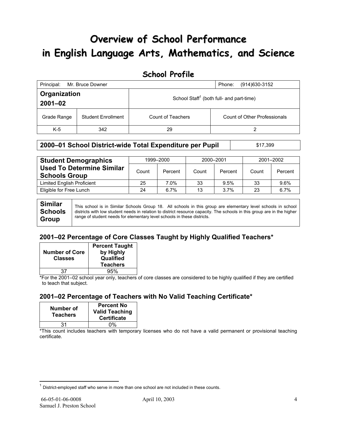# **Overview of School Performance in English Language Arts, Mathematics, and Science**

### **School Profile**

| Principal:<br>Mr. Bruce Downer<br>(914) 630-3152<br>Phone: |                           |                   |                                                      |  |  |
|------------------------------------------------------------|---------------------------|-------------------|------------------------------------------------------|--|--|
| Organization<br>$2001 - 02$                                |                           |                   | School Staff <sup>1</sup> (both full- and part-time) |  |  |
| Grade Range                                                | <b>Student Enrollment</b> | Count of Teachers | <b>Count of Other Professionals</b>                  |  |  |
| $K-5$                                                      | 342                       | 29                | າ                                                    |  |  |

#### **2000–01 School District-wide Total Expenditure per Pupil | \$17,399**

| <b>Student Demographics</b>                              | 1999-2000 |         | 2000-2001 |         | 2001-2002 |         |
|----------------------------------------------------------|-----------|---------|-----------|---------|-----------|---------|
| <b>Used To Determine Similar</b><br><b>Schools Group</b> | Count     | Percent | Count     | Percent | Count     | Percent |
| <b>Limited English Proficient</b>                        | 25        | 7.0%    | 33        | 9.5%    | 33        | 9.6%    |
| Eligible for Free Lunch                                  | 24        | 6.7%    | 13        | 3.7%    | 23        | 6.7%    |

**Similar Schools Group**  This school is in Similar Schools Group 18. All schools in this group are elementary level schools in school districts with low student needs in relation to district resource capacity. The schools in this group are in the higher range of student needs for elementary level schools in these districts.

### **2001–02 Percentage of Core Classes Taught by Highly Qualified Teachers\***

| <b>Number of Core</b><br><b>Classes</b> | <b>Percent Taught</b><br>by Highly<br>Qualified<br><b>Teachers</b> |
|-----------------------------------------|--------------------------------------------------------------------|
| 37                                      | 95%                                                                |

\*For the 2001–02 school year only, teachers of core classes are considered to be highly qualified if they are certified to teach that subject.

### **2001–02 Percentage of Teachers with No Valid Teaching Certificate\***

| Number of<br><b>Teachers</b> | <b>Percent No</b><br><b>Valid Teaching</b><br><b>Certificate</b> |
|------------------------------|------------------------------------------------------------------|
| 31                           | ሰ%                                                               |

\*This count includes teachers with temporary licenses who do not have a valid permanent or provisional teaching certificate.

 $\overline{a}$ 

 $1$  District-employed staff who serve in more than one school are not included in these counts.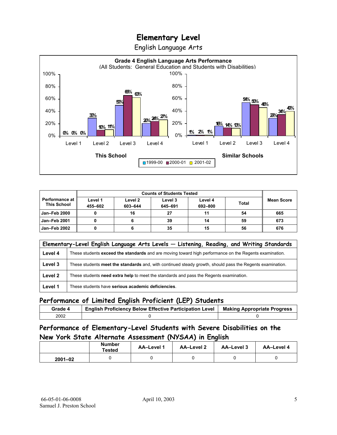English Language Arts



| <b>Counts of Students Tested</b>            |                    |                    |                    |                    |              |                   |
|---------------------------------------------|--------------------|--------------------|--------------------|--------------------|--------------|-------------------|
| <b>Performance at</b><br><b>This School</b> | Level 1<br>455-602 | Level 2<br>603-644 | Level 3<br>645-691 | Level 4<br>692-800 | <b>Total</b> | <b>Mean Score</b> |
| <b>Jan-Feb 2000</b>                         |                    | 16                 | 27                 | 11                 | 54           | 665               |
| <b>Jan-Feb 2001</b>                         |                    |                    | 39                 | 14                 | 59           | 673               |
| Jan-Feb 2002                                |                    |                    | 35                 | 15                 | 56           | 676               |

|         | Elementary-Level English Language Arts Levels - Listening, Reading, and Writing Standards                 |  |  |  |  |  |
|---------|-----------------------------------------------------------------------------------------------------------|--|--|--|--|--|
| Level 4 | These students exceed the standards and are moving toward high performance on the Regents examination.    |  |  |  |  |  |
| Level 3 | These students meet the standards and, with continued steady growth, should pass the Regents examination. |  |  |  |  |  |
| Level 2 | These students need extra help to meet the standards and pass the Regents examination.                    |  |  |  |  |  |
| Level 1 | These students have serious academic deficiencies.                                                        |  |  |  |  |  |

### **Performance of Limited English Proficient (LEP) Students**

| Grade 4 | <b>English Proficiency Below Effective Participation Level</b> | <b>Making Appropriate Progress</b> |
|---------|----------------------------------------------------------------|------------------------------------|
| 2002    |                                                                |                                    |

### **Performance of Elementary-Level Students with Severe Disabilities on the New York State Alternate Assessment (NYSAA) in English**

|             | <b>Number</b><br>Tested | <b>AA-Level 1</b> | AA-Level 2 | AA-Level 3 | AA-Level 4 |
|-------------|-------------------------|-------------------|------------|------------|------------|
| $2001 - 02$ |                         |                   |            |            |            |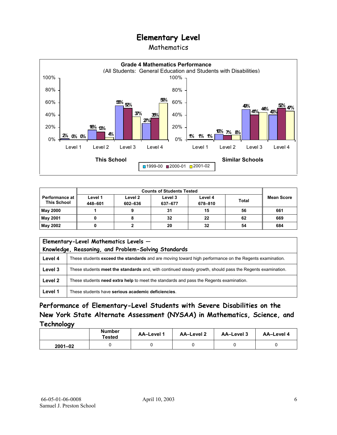### Mathematics



| <b>Counts of Students Tested</b>              |                    |                    |                    |                    |              |                   |
|-----------------------------------------------|--------------------|--------------------|--------------------|--------------------|--------------|-------------------|
| <b>Performance at I</b><br><b>This School</b> | Level 1<br>448-601 | Level 2<br>602-636 | Level 3<br>637-677 | Level 4<br>678-810 | <b>Total</b> | <b>Mean Score</b> |
| <b>May 2000</b>                               |                    |                    | 31                 | 15                 | 56           | 661               |
| May 2001                                      |                    |                    | 32                 | 22                 | 62           | 669               |
| May 2002                                      |                    |                    | 20                 | 32                 | 54           | 684               |

| Elementary-Level Mathematics Levels -<br>Knowledge, Reasoning, and Problem-Solving Standards |                                                                                                           |  |  |  |  |
|----------------------------------------------------------------------------------------------|-----------------------------------------------------------------------------------------------------------|--|--|--|--|
| Level 4                                                                                      | These students exceed the standards and are moving toward high performance on the Regents examination.    |  |  |  |  |
| Level 3                                                                                      | These students meet the standards and, with continued steady growth, should pass the Regents examination. |  |  |  |  |
| Level 2                                                                                      | These students need extra help to meet the standards and pass the Regents examination.                    |  |  |  |  |
| Level 1                                                                                      | These students have serious academic deficiencies.                                                        |  |  |  |  |

**Performance of Elementary-Level Students with Severe Disabilities on the New York State Alternate Assessment (NYSAA) in Mathematics, Science, and Technology** 

|             | <b>Number</b><br><b>Tested</b> | AA-Level 1 | <b>AA-Level 2</b> | AA-Level 3 | AA-Level 4 |
|-------------|--------------------------------|------------|-------------------|------------|------------|
| $2001 - 02$ |                                |            |                   |            |            |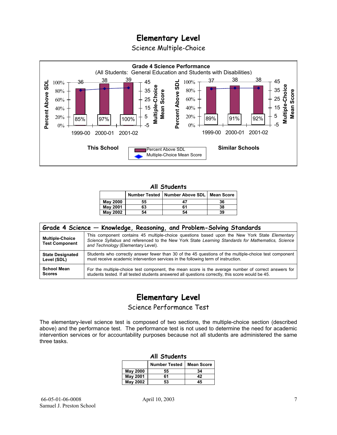Science Multiple-Choice



#### **All Students**

|                 |    | Number Tested   Number Above SDL   Mean Score |    |
|-----------------|----|-----------------------------------------------|----|
| <b>May 2000</b> | 55 | 47                                            | 36 |
| <b>May 2001</b> | 63 | 61                                            | 38 |
| <b>May 2002</b> | 54 | 54                                            | 39 |

| Grade 4 Science - Knowledge, Reasoning, and Problem-Solving Standards |                                                                                                                                                                                                                                          |  |  |  |  |  |
|-----------------------------------------------------------------------|------------------------------------------------------------------------------------------------------------------------------------------------------------------------------------------------------------------------------------------|--|--|--|--|--|
| <b>Multiple-Choice</b><br><b>Test Component</b>                       | This component contains 45 multiple-choice questions based upon the New York State Elementary<br>Science Syllabus and referenced to the New York State Learning Standards for Mathematics, Science<br>and Technology (Elementary Level). |  |  |  |  |  |
| <b>State Designated</b>                                               | Students who correctly answer fewer than 30 of the 45 questions of the multiple-choice test component                                                                                                                                    |  |  |  |  |  |
| Level (SDL)                                                           | must receive academic intervention services in the following term of instruction.                                                                                                                                                        |  |  |  |  |  |
| <b>School Mean</b>                                                    | For the multiple-choice test component, the mean score is the average number of correct answers for                                                                                                                                      |  |  |  |  |  |
| <b>Scores</b>                                                         | students tested. If all tested students answered all questions correctly, this score would be 45.                                                                                                                                        |  |  |  |  |  |

## **Elementary Level**

Science Performance Test

The elementary-level science test is composed of two sections, the multiple-choice section (described above) and the performance test. The performance test is not used to determine the need for academic intervention services or for accountability purposes because not all students are administered the same three tasks.

| All Students    |                                           |    |  |  |  |  |  |
|-----------------|-------------------------------------------|----|--|--|--|--|--|
|                 | <b>Number Tested</b><br><b>Mean Score</b> |    |  |  |  |  |  |
| <b>May 2000</b> | 55                                        | 34 |  |  |  |  |  |
| <b>May 2001</b> | 61                                        | 42 |  |  |  |  |  |
| <b>May 2002</b> | 53                                        | 45 |  |  |  |  |  |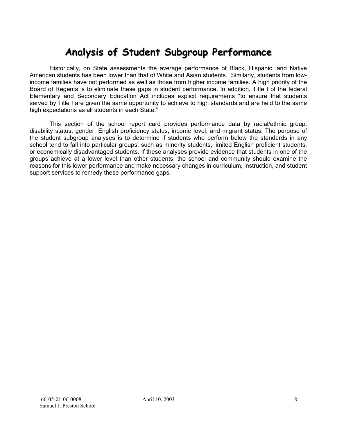# **Analysis of Student Subgroup Performance**

Historically, on State assessments the average performance of Black, Hispanic, and Native American students has been lower than that of White and Asian students. Similarly, students from lowincome families have not performed as well as those from higher income families. A high priority of the Board of Regents is to eliminate these gaps in student performance. In addition, Title I of the federal Elementary and Secondary Education Act includes explicit requirements "to ensure that students served by Title I are given the same opportunity to achieve to high standards and are held to the same high expectations as all students in each State."

This section of the school report card provides performance data by racial/ethnic group, disability status, gender, English proficiency status, income level, and migrant status. The purpose of the student subgroup analyses is to determine if students who perform below the standards in any school tend to fall into particular groups, such as minority students, limited English proficient students, or economically disadvantaged students. If these analyses provide evidence that students in one of the groups achieve at a lower level than other students, the school and community should examine the reasons for this lower performance and make necessary changes in curriculum, instruction, and student support services to remedy these performance gaps.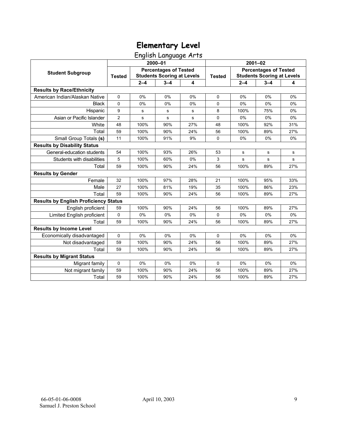English Language Arts

|                                              | 2000-01        |                                                                   |             |     | $2001 - 02$   |                                                                   |         |     |
|----------------------------------------------|----------------|-------------------------------------------------------------------|-------------|-----|---------------|-------------------------------------------------------------------|---------|-----|
| <b>Student Subgroup</b>                      | <b>Tested</b>  | <b>Percentages of Tested</b><br><b>Students Scoring at Levels</b> |             |     | <b>Tested</b> | <b>Percentages of Tested</b><br><b>Students Scoring at Levels</b> |         |     |
|                                              |                | $2 - 4$                                                           | $3 - 4$     | 4   |               | $2 - 4$                                                           | $3 - 4$ | 4   |
| <b>Results by Race/Ethnicity</b>             |                |                                                                   |             |     |               |                                                                   |         |     |
| American Indian/Alaskan Native               | $\mathbf 0$    | 0%                                                                | 0%          | 0%  | $\mathbf 0$   | 0%                                                                | 0%      | 0%  |
| <b>Black</b>                                 | $\Omega$       | 0%                                                                | 0%          | 0%  | $\mathbf 0$   | 0%                                                                | 0%      | 0%  |
| Hispanic                                     | 9              | s                                                                 | s           | s   | 8             | 100%                                                              | 75%     | 0%  |
| Asian or Pacific Islander                    | $\overline{c}$ | s                                                                 | $\mathbf s$ | s   | 0             | 0%                                                                | 0%      | 0%  |
| White                                        | 48             | 100%                                                              | 90%         | 27% | 48            | 100%                                                              | 92%     | 31% |
| Total                                        | 59             | 100%                                                              | 90%         | 24% | 56            | 100%                                                              | 89%     | 27% |
| Small Group Totals (s)                       | 11             | 100%                                                              | 91%         | 9%  | $\Omega$      | 0%                                                                | 0%      | 0%  |
| <b>Results by Disability Status</b>          |                |                                                                   |             |     |               |                                                                   |         |     |
| General-education students                   | 54             | 100%                                                              | 93%         | 26% | 53            | s                                                                 | s       | s   |
| Students with disabilities                   | 5              | 100%                                                              | 60%         | 0%  | 3             | s                                                                 | s       | s   |
| Total                                        | 59             | 100%                                                              | 90%         | 24% | 56            | 100%                                                              | 89%     | 27% |
| <b>Results by Gender</b>                     |                |                                                                   |             |     |               |                                                                   |         |     |
| Female                                       | 32             | 100%                                                              | 97%         | 28% | 21            | 100%                                                              | 95%     | 33% |
| Male                                         | 27             | 100%                                                              | 81%         | 19% | 35            | 100%                                                              | 86%     | 23% |
| Total                                        | 59             | 100%                                                              | 90%         | 24% | 56            | 100%                                                              | 89%     | 27% |
| <b>Results by English Proficiency Status</b> |                |                                                                   |             |     |               |                                                                   |         |     |
| English proficient                           | 59             | 100%                                                              | 90%         | 24% | 56            | 100%                                                              | 89%     | 27% |
| Limited English proficient                   | 0              | 0%                                                                | 0%          | 0%  | 0             | 0%                                                                | 0%      | 0%  |
| Total                                        | 59             | 100%                                                              | 90%         | 24% | 56            | 100%                                                              | 89%     | 27% |
| <b>Results by Income Level</b>               |                |                                                                   |             |     |               |                                                                   |         |     |
| Economically disadvantaged                   | 0              | 0%                                                                | 0%          | 0%  | 0             | 0%                                                                | 0%      | 0%  |
| Not disadvantaged                            | 59             | 100%                                                              | 90%         | 24% | 56            | 100%                                                              | 89%     | 27% |
| Total                                        | 59             | 100%                                                              | 90%         | 24% | 56            | 100%                                                              | 89%     | 27% |
| <b>Results by Migrant Status</b>             |                |                                                                   |             |     |               |                                                                   |         |     |
| Migrant family                               | 0              | 0%                                                                | 0%          | 0%  | 0             | 0%                                                                | 0%      | 0%  |
| Not migrant family                           | 59             | 100%                                                              | 90%         | 24% | 56            | 100%                                                              | 89%     | 27% |
| Total                                        | 59             | 100%                                                              | 90%         | 24% | 56            | 100%                                                              | 89%     | 27% |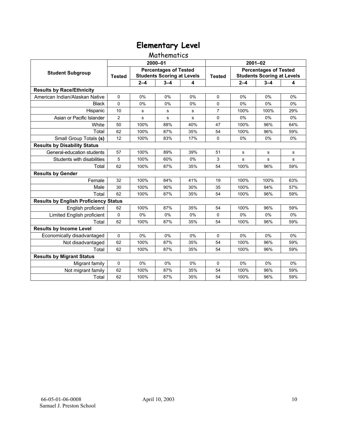### Mathematics

|                                              | 2000-01                                                                            |           |             |               | 2001-02                                                           |         |         |     |
|----------------------------------------------|------------------------------------------------------------------------------------|-----------|-------------|---------------|-------------------------------------------------------------------|---------|---------|-----|
| <b>Student Subgroup</b>                      | <b>Percentages of Tested</b><br><b>Students Scoring at Levels</b><br><b>Tested</b> |           |             | <b>Tested</b> | <b>Percentages of Tested</b><br><b>Students Scoring at Levels</b> |         |         |     |
|                                              |                                                                                    | $2 - 4$   | $3 - 4$     | 4             |                                                                   | $2 - 4$ | $3 - 4$ | 4   |
| <b>Results by Race/Ethnicity</b>             |                                                                                    |           |             |               |                                                                   |         |         |     |
| American Indian/Alaskan Native               | 0                                                                                  | 0%        | 0%          | 0%            | $\mathbf{0}$                                                      | 0%      | 0%      | 0%  |
| <b>Black</b>                                 | $\Omega$                                                                           | 0%        | 0%          | 0%            | $\mathbf 0$                                                       | 0%      | 0%      | 0%  |
| Hispanic                                     | 10                                                                                 | s         | s           | s             | $\overline{7}$                                                    | 100%    | 100%    | 29% |
| Asian or Pacific Islander                    | $\overline{2}$                                                                     | ${\bf s}$ | $\mathbf s$ | s             | $\mathbf 0$                                                       | 0%      | 0%      | 0%  |
| White                                        | 50                                                                                 | 100%      | 88%         | 40%           | 47                                                                | 100%    | 96%     | 64% |
| Total                                        | 62                                                                                 | 100%      | 87%         | 35%           | 54                                                                | 100%    | 96%     | 59% |
| Small Group Totals (s)                       | 12                                                                                 | 100%      | 83%         | 17%           | 0                                                                 | 0%      | 0%      | 0%  |
| <b>Results by Disability Status</b>          |                                                                                    |           |             |               |                                                                   |         |         |     |
| General-education students                   | 57                                                                                 | 100%      | 89%         | 39%           | 51                                                                | s       | s       | s   |
| Students with disabilities                   | 5                                                                                  | 100%      | 60%         | 0%            | 3                                                                 | s       | s       | s   |
| Total                                        | 62                                                                                 | 100%      | 87%         | 35%           | 54                                                                | 100%    | 96%     | 59% |
| <b>Results by Gender</b>                     |                                                                                    |           |             |               |                                                                   |         |         |     |
| Female                                       | 32                                                                                 | 100%      | 84%         | 41%           | 19                                                                | 100%    | 100%    | 63% |
| Male                                         | 30                                                                                 | 100%      | 90%         | 30%           | 35                                                                | 100%    | 94%     | 57% |
| Total                                        | 62                                                                                 | 100%      | 87%         | 35%           | 54                                                                | 100%    | 96%     | 59% |
| <b>Results by English Proficiency Status</b> |                                                                                    |           |             |               |                                                                   |         |         |     |
| English proficient                           | 62                                                                                 | 100%      | 87%         | 35%           | 54                                                                | 100%    | 96%     | 59% |
| Limited English proficient                   | 0                                                                                  | 0%        | 0%          | 0%            | $\mathbf 0$                                                       | 0%      | 0%      | 0%  |
| Total                                        | 62                                                                                 | 100%      | 87%         | 35%           | 54                                                                | 100%    | 96%     | 59% |
| <b>Results by Income Level</b>               |                                                                                    |           |             |               |                                                                   |         |         |     |
| Economically disadvantaged                   | 0                                                                                  | 0%        | 0%          | 0%            | 0                                                                 | 0%      | 0%      | 0%  |
| Not disadvantaged                            | 62                                                                                 | 100%      | 87%         | 35%           | 54                                                                | 100%    | 96%     | 59% |
| Total                                        | 62                                                                                 | 100%      | 87%         | 35%           | 54                                                                | 100%    | 96%     | 59% |
| <b>Results by Migrant Status</b>             |                                                                                    |           |             |               |                                                                   |         |         |     |
| Migrant family                               | 0                                                                                  | 0%        | 0%          | 0%            | $\Omega$                                                          | 0%      | 0%      | 0%  |
| Not migrant family                           | 62                                                                                 | 100%      | 87%         | 35%           | 54                                                                | 100%    | 96%     | 59% |
| Total                                        | 62                                                                                 | 100%      | 87%         | 35%           | 54                                                                | 100%    | 96%     | 59% |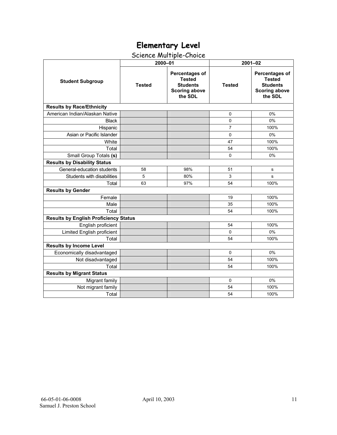## Science Multiple-Choice

|                                              | 2000-01       |                                                                                       | $2001 - 02$    |                                                                                              |  |  |  |
|----------------------------------------------|---------------|---------------------------------------------------------------------------------------|----------------|----------------------------------------------------------------------------------------------|--|--|--|
| <b>Student Subgroup</b>                      | <b>Tested</b> | Percentages of<br><b>Tested</b><br><b>Students</b><br><b>Scoring above</b><br>the SDL | <b>Tested</b>  | <b>Percentages of</b><br><b>Tested</b><br><b>Students</b><br><b>Scoring above</b><br>the SDL |  |  |  |
| <b>Results by Race/Ethnicity</b>             |               |                                                                                       |                |                                                                                              |  |  |  |
| American Indian/Alaskan Native               |               |                                                                                       | 0              | 0%                                                                                           |  |  |  |
| <b>Black</b>                                 |               |                                                                                       | 0              | 0%                                                                                           |  |  |  |
| Hispanic                                     |               |                                                                                       | $\overline{7}$ | 100%                                                                                         |  |  |  |
| Asian or Pacific Islander                    |               |                                                                                       | $\Omega$       | 0%                                                                                           |  |  |  |
| White                                        |               |                                                                                       | 47             | 100%                                                                                         |  |  |  |
| Total                                        |               |                                                                                       | 54             | 100%                                                                                         |  |  |  |
| Small Group Totals (s)                       |               |                                                                                       | 0              | 0%                                                                                           |  |  |  |
| <b>Results by Disability Status</b>          |               |                                                                                       |                |                                                                                              |  |  |  |
| General-education students                   | 58            | 98%                                                                                   | 51             | s                                                                                            |  |  |  |
| Students with disabilities                   | 5             | 80%                                                                                   | 3              | s                                                                                            |  |  |  |
| Total                                        | 63            | 97%                                                                                   | 54             | 100%                                                                                         |  |  |  |
| <b>Results by Gender</b>                     |               |                                                                                       |                |                                                                                              |  |  |  |
| Female                                       |               |                                                                                       | 19             | 100%                                                                                         |  |  |  |
| Male                                         |               |                                                                                       | 35             | 100%                                                                                         |  |  |  |
| Total                                        |               |                                                                                       | 54             | 100%                                                                                         |  |  |  |
| <b>Results by English Proficiency Status</b> |               |                                                                                       |                |                                                                                              |  |  |  |
| English proficient                           |               |                                                                                       | 54             | 100%                                                                                         |  |  |  |
| Limited English proficient                   |               |                                                                                       | $\Omega$       | 0%                                                                                           |  |  |  |
| Total                                        |               |                                                                                       | 54             | 100%                                                                                         |  |  |  |
| <b>Results by Income Level</b>               |               |                                                                                       |                |                                                                                              |  |  |  |
| Economically disadvantaged                   |               |                                                                                       | $\Omega$       | 0%                                                                                           |  |  |  |
| Not disadvantaged                            |               |                                                                                       | 54             | 100%                                                                                         |  |  |  |
| Total                                        |               |                                                                                       | 54             | 100%                                                                                         |  |  |  |
| <b>Results by Migrant Status</b>             |               |                                                                                       |                |                                                                                              |  |  |  |
| Migrant family                               |               |                                                                                       | $\mathbf 0$    | 0%                                                                                           |  |  |  |
| Not migrant family                           |               |                                                                                       | 54             | 100%                                                                                         |  |  |  |
| Total                                        |               |                                                                                       | 54             | 100%                                                                                         |  |  |  |